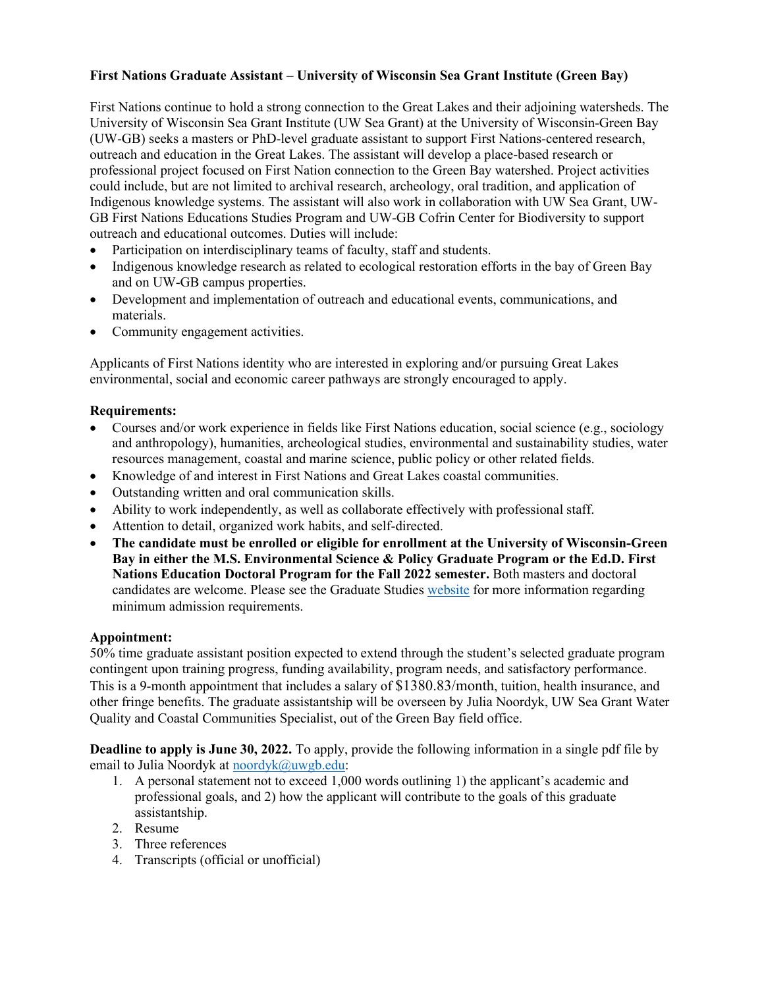## **First Nations Graduate Assistant – University of Wisconsin Sea Grant Institute (Green Bay)**

First Nations continue to hold a strong connection to the Great Lakes and their adjoining watersheds. The University of Wisconsin Sea Grant Institute (UW Sea Grant) at the University of Wisconsin-Green Bay (UW-GB) seeks a masters or PhD-level graduate assistant to support First Nations-centered research, outreach and education in the Great Lakes. The assistant will develop a place-based research or professional project focused on First Nation connection to the Green Bay watershed. Project activities could include, but are not limited to archival research, archeology, oral tradition, and application of Indigenous knowledge systems. The assistant will also work in collaboration with UW Sea Grant, UW-GB First Nations Educations Studies Program and UW-GB Cofrin Center for Biodiversity to support outreach and educational outcomes. Duties will include:

- Participation on interdisciplinary teams of faculty, staff and students.
- Indigenous knowledge research as related to ecological restoration efforts in the bay of Green Bay and on UW-GB campus properties.
- Development and implementation of outreach and educational events, communications, and materials.
- Community engagement activities.

Applicants of First Nations identity who are interested in exploring and/or pursuing Great Lakes environmental, social and economic career pathways are strongly encouraged to apply.

## **Requirements:**

- Courses and/or work experience in fields like First Nations education, social science (e.g., sociology and anthropology), humanities, archeological studies, environmental and sustainability studies, water resources management, coastal and marine science, public policy or other related fields.
- Knowledge of and interest in First Nations and Great Lakes coastal communities.
- Outstanding written and oral communication skills.
- Ability to work independently, as well as collaborate effectively with professional staff.
- Attention to detail, organized work habits, and self-directed.
- **The candidate must be enrolled or eligible for enrollment at the University of Wisconsin-Green Bay in either the M.S. Environmental Science & Policy Graduate Program or the Ed.D. First Nations Education Doctoral Program for the Fall 2022 semester.** Both masters and doctoral candidates are welcome. Please see the Graduate Studies [website](https://www.uwgb.edu/graduate/) for more information regarding minimum admission requirements.

## **Appointment:**

50% time graduate assistant position expected to extend through the student's selected graduate program contingent upon training progress, funding availability, program needs, and satisfactory performance. This is a 9-month appointment that includes a salary of \$1380.83/month, tuition, health insurance, and other fringe benefits. The graduate assistantship will be overseen by Julia Noordyk, UW Sea Grant Water Quality and Coastal Communities Specialist, out of the Green Bay field office.

**Deadline to apply is June 30, 2022.** To apply, provide the following information in a single pdf file by email to Julia Noordyk at [noordyk@uwgb.edu:](mailto:noordyk@uwgb.edu)

- 1. A personal statement not to exceed 1,000 words outlining 1) the applicant's academic and professional goals, and 2) how the applicant will contribute to the goals of this graduate assistantship.
- 2. Resume
- 3. Three references
- 4. Transcripts (official or unofficial)